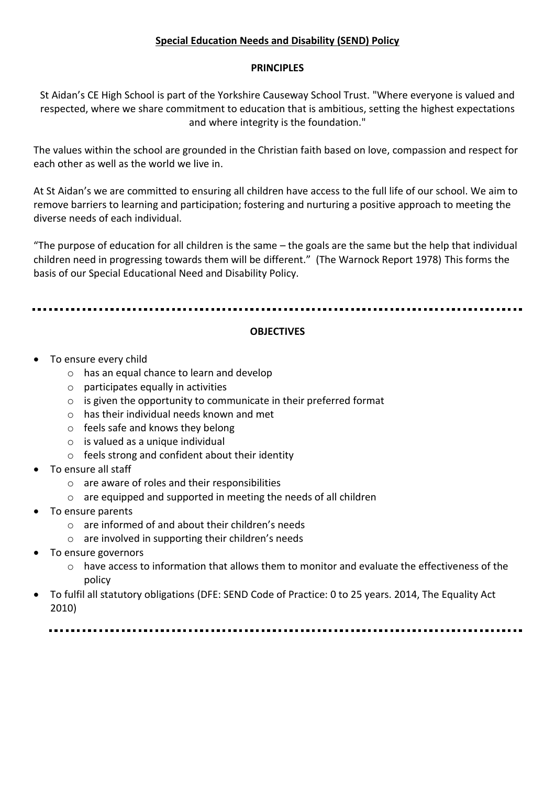# **Special Education Needs and Disability (SEND) Policy**

### **PRINCIPLES**

St Aidan's CE High School is part of the Yorkshire Causeway School Trust. "Where everyone is valued and respected, where we share commitment to education that is ambitious, setting the highest expectations and where integrity is the foundation."

The values within the school are grounded in the Christian faith based on love, compassion and respect for each other as well as the world we live in.

At St Aidan's we are committed to ensuring all children have access to the full life of our school. We aim to remove barriers to learning and participation; fostering and nurturing a positive approach to meeting the diverse needs of each individual.

"The purpose of education for all children is the same – the goals are the same but the help that individual children need in progressing towards them will be different." (The Warnock Report 1978) This forms the basis of our Special Educational Need and Disability Policy.

## **OBJECTIVES**

- To ensure every child
	- o has an equal chance to learn and develop
	- $\circ$  participates equally in activities
	- o is given the opportunity to communicate in their preferred format
	- o has their individual needs known and met
	- o feels safe and knows they belong
	- $\circ$  is valued as a unique individual
	- o feels strong and confident about their identity
- To ensure all staff
	- o are aware of roles and their responsibilities
	- o are equipped and supported in meeting the needs of all children
- To ensure parents
	- o are informed of and about their children's needs
	- o are involved in supporting their children's needs
- To ensure governors
	- $\circ$  have access to information that allows them to monitor and evaluate the effectiveness of the policy
- To fulfil all statutory obligations (DFE: SEND Code of Practice: 0 to 25 years. 2014, The Equality Act 2010)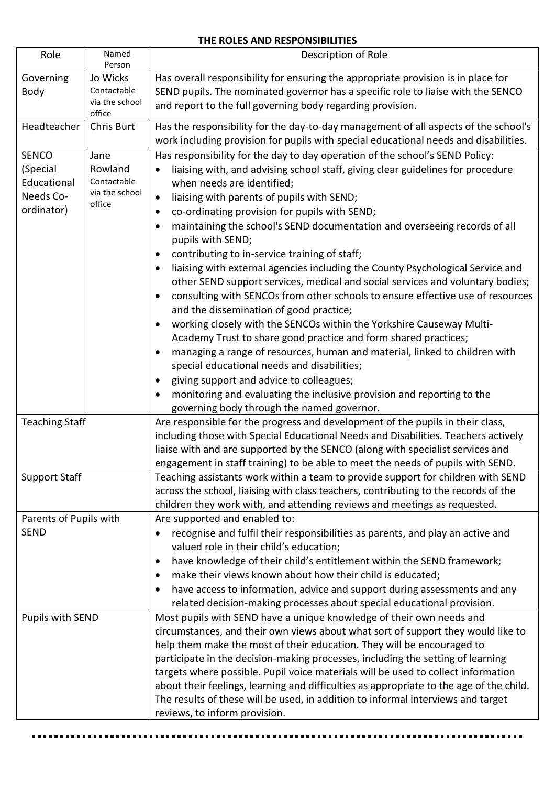#### **THE ROLES AND RESPONSIBILITIES**

| Role                                                               | Named<br>Person                                            | Description of Role                                                                                                                                                                                                                                                                                                                                                                                                                                                                                                                                                                                                                                                                                                                                                                                                                                                                                                                                                                                                                                                                                                                                                                                                                                                                                                         |
|--------------------------------------------------------------------|------------------------------------------------------------|-----------------------------------------------------------------------------------------------------------------------------------------------------------------------------------------------------------------------------------------------------------------------------------------------------------------------------------------------------------------------------------------------------------------------------------------------------------------------------------------------------------------------------------------------------------------------------------------------------------------------------------------------------------------------------------------------------------------------------------------------------------------------------------------------------------------------------------------------------------------------------------------------------------------------------------------------------------------------------------------------------------------------------------------------------------------------------------------------------------------------------------------------------------------------------------------------------------------------------------------------------------------------------------------------------------------------------|
| Governing<br>Body                                                  | Jo Wicks<br>Contactable<br>via the school<br>office        | Has overall responsibility for ensuring the appropriate provision is in place for<br>SEND pupils. The nominated governor has a specific role to liaise with the SENCO<br>and report to the full governing body regarding provision.                                                                                                                                                                                                                                                                                                                                                                                                                                                                                                                                                                                                                                                                                                                                                                                                                                                                                                                                                                                                                                                                                         |
| Headteacher                                                        | Chris Burt                                                 | Has the responsibility for the day-to-day management of all aspects of the school's<br>work including provision for pupils with special educational needs and disabilities.                                                                                                                                                                                                                                                                                                                                                                                                                                                                                                                                                                                                                                                                                                                                                                                                                                                                                                                                                                                                                                                                                                                                                 |
| <b>SENCO</b><br>(Special<br>Educational<br>Needs Co-<br>ordinator) | Jane<br>Rowland<br>Contactable<br>via the school<br>office | Has responsibility for the day to day operation of the school's SEND Policy:<br>liaising with, and advising school staff, giving clear guidelines for procedure<br>$\bullet$<br>when needs are identified;<br>liaising with parents of pupils with SEND;<br>$\bullet$<br>co-ordinating provision for pupils with SEND;<br>$\bullet$<br>maintaining the school's SEND documentation and overseeing records of all<br>٠<br>pupils with SEND;<br>contributing to in-service training of staff;<br>$\bullet$<br>liaising with external agencies including the County Psychological Service and<br>$\bullet$<br>other SEND support services, medical and social services and voluntary bodies;<br>consulting with SENCOs from other schools to ensure effective use of resources<br>$\bullet$<br>and the dissemination of good practice;<br>working closely with the SENCOs within the Yorkshire Causeway Multi-<br>$\bullet$<br>Academy Trust to share good practice and form shared practices;<br>managing a range of resources, human and material, linked to children with<br>$\bullet$<br>special educational needs and disabilities;<br>giving support and advice to colleagues;<br>$\bullet$<br>monitoring and evaluating the inclusive provision and reporting to the<br>٠<br>governing body through the named governor. |
| <b>Teaching Staff</b>                                              |                                                            | Are responsible for the progress and development of the pupils in their class,<br>including those with Special Educational Needs and Disabilities. Teachers actively<br>liaise with and are supported by the SENCO (along with specialist services and<br>engagement in staff training) to be able to meet the needs of pupils with SEND.                                                                                                                                                                                                                                                                                                                                                                                                                                                                                                                                                                                                                                                                                                                                                                                                                                                                                                                                                                                   |
| <b>Support Staff</b>                                               |                                                            | Teaching assistants work within a team to provide support for children with SEND<br>across the school, liaising with class teachers, contributing to the records of the<br>children they work with, and attending reviews and meetings as requested.                                                                                                                                                                                                                                                                                                                                                                                                                                                                                                                                                                                                                                                                                                                                                                                                                                                                                                                                                                                                                                                                        |
| Parents of Pupils with<br><b>SEND</b>                              |                                                            | Are supported and enabled to:<br>recognise and fulfil their responsibilities as parents, and play an active and<br>valued role in their child's education;<br>have knowledge of their child's entitlement within the SEND framework;<br>$\bullet$<br>make their views known about how their child is educated;<br>$\bullet$<br>have access to information, advice and support during assessments and any<br>٠<br>related decision-making processes about special educational provision.                                                                                                                                                                                                                                                                                                                                                                                                                                                                                                                                                                                                                                                                                                                                                                                                                                     |
| Pupils with SEND                                                   |                                                            | Most pupils with SEND have a unique knowledge of their own needs and<br>circumstances, and their own views about what sort of support they would like to<br>help them make the most of their education. They will be encouraged to<br>participate in the decision-making processes, including the setting of learning<br>targets where possible. Pupil voice materials will be used to collect information<br>about their feelings, learning and difficulties as appropriate to the age of the child.<br>The results of these will be used, in addition to informal interviews and target<br>reviews, to inform provision.                                                                                                                                                                                                                                                                                                                                                                                                                                                                                                                                                                                                                                                                                                  |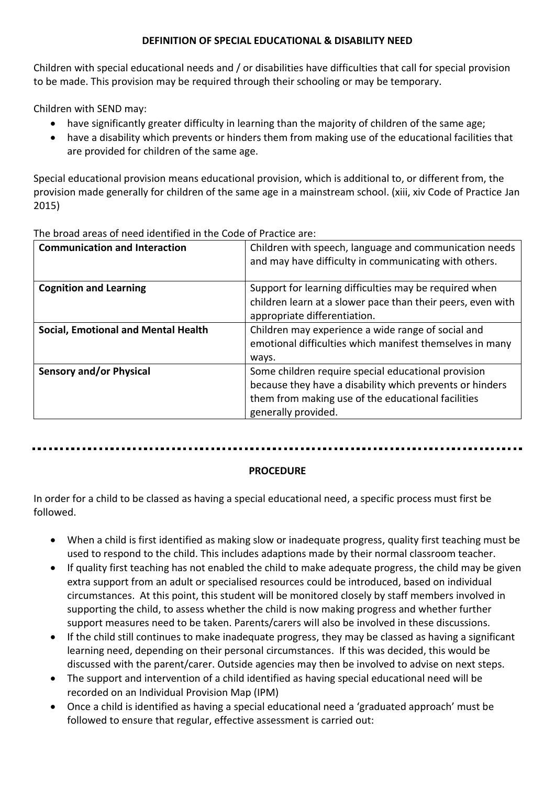## **DEFINITION OF SPECIAL EDUCATIONAL & DISABILITY NEED**

Children with special educational needs and / or disabilities have difficulties that call for special provision to be made. This provision may be required through their schooling or may be temporary.

Children with SEND may:

- have significantly greater difficulty in learning than the majority of children of the same age;
- have a disability which prevents or hinders them from making use of the educational facilities that are provided for children of the same age.

Special educational provision means educational provision, which is additional to, or different from, the provision made generally for children of the same age in a mainstream school. (xiii, xiv Code of Practice Jan 2015)

**Communication and Interaction 12 Children with speech, language and communication needs** and may have difficulty in communicating with others. **Cognition and Learning The Support for learning difficulties may be required when** children learn at a slower pace than their peers, even with appropriate differentiation. **Social, Emotional and Mental Health** Children may experience a wide range of social and emotional difficulties which manifest themselves in many ways. **Sensory and/or Physical** Some children require special educational provision because they have a disability which prevents or hinders them from making use of the educational facilities generally provided.

The broad areas of need identified in the Code of Practice are:

## **PROCEDURE**

In order for a child to be classed as having a special educational need, a specific process must first be followed.

- When a child is first identified as making slow or inadequate progress, quality first teaching must be used to respond to the child. This includes adaptions made by their normal classroom teacher.
- If quality first teaching has not enabled the child to make adequate progress, the child may be given extra support from an adult or specialised resources could be introduced, based on individual circumstances. At this point, this student will be monitored closely by staff members involved in supporting the child, to assess whether the child is now making progress and whether further support measures need to be taken. Parents/carers will also be involved in these discussions.
- If the child still continues to make inadequate progress, they may be classed as having a significant learning need, depending on their personal circumstances. If this was decided, this would be discussed with the parent/carer. Outside agencies may then be involved to advise on next steps.
- The support and intervention of a child identified as having special educational need will be recorded on an Individual Provision Map (IPM)
- Once a child is identified as having a special educational need a 'graduated approach' must be followed to ensure that regular, effective assessment is carried out: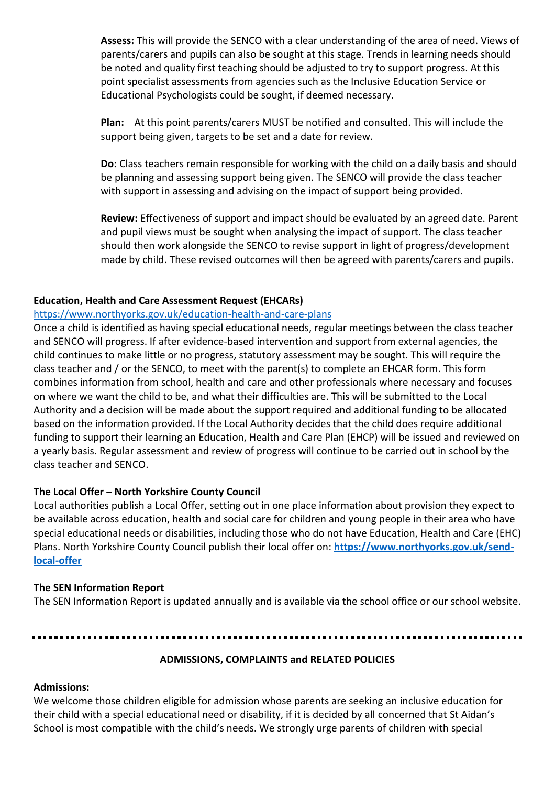**Assess:** This will provide the SENCO with a clear understanding of the area of need. Views of parents/carers and pupils can also be sought at this stage. Trends in learning needs should be noted and quality first teaching should be adjusted to try to support progress. At this point specialist assessments from agencies such as the Inclusive Education Service or Educational Psychologists could be sought, if deemed necessary.

**Plan:** At this point parents/carers MUST be notified and consulted. This will include the support being given, targets to be set and a date for review.

**Do:** Class teachers remain responsible for working with the child on a daily basis and should be planning and assessing support being given. The SENCO will provide the class teacher with support in assessing and advising on the impact of support being provided.

**Review:** Effectiveness of support and impact should be evaluated by an agreed date. Parent and pupil views must be sought when analysing the impact of support. The class teacher should then work alongside the SENCO to revise support in light of progress/development made by child. These revised outcomes will then be agreed with parents/carers and pupils.

### **Education, Health and Care Assessment Request (EHCARs)**

#### <https://www.northyorks.gov.uk/education-health-and-care-plans>

Once a child is identified as having special educational needs, regular meetings between the class teacher and SENCO will progress. If after evidence-based intervention and support from external agencies, the child continues to make little or no progress, statutory assessment may be sought. This will require the class teacher and / or the SENCO, to meet with the parent(s) to complete an EHCAR form. This form combines information from school, health and care and other professionals where necessary and focuses on where we want the child to be, and what their difficulties are. This will be submitted to the Local Authority and a decision will be made about the support required and additional funding to be allocated based on the information provided. If the Local Authority decides that the child does require additional funding to support their learning an Education, Health and Care Plan (EHCP) will be issued and reviewed on a yearly basis. Regular assessment and review of progress will continue to be carried out in school by the class teacher and SENCO.

#### **The Local Offer – North Yorkshire County Council**

Local authorities publish a Local Offer, setting out in one place information about provision they expect to be available across education, health and social care for children and young people in their area who have special educational needs or disabilities, including those who do not have Education, Health and Care (EHC) Plans. North Yorkshire County Council publish their local offer on: **[https://www.northyorks.gov.uk/send](https://www.northyorks.gov.uk/send-local-offer)[local-offer](https://www.northyorks.gov.uk/send-local-offer)**

#### **The SEN Information Report**

The SEN Information Report is updated annually and is available via the school office or our school website.

# **ADMISSIONS, COMPLAINTS and RELATED POLICIES**

#### **Admissions:**

We welcome those children eligible for admission whose parents are seeking an inclusive education for their child with a special educational need or disability, if it is decided by all concerned that St Aidan's School is most compatible with the child's needs. We strongly urge parents of children with special